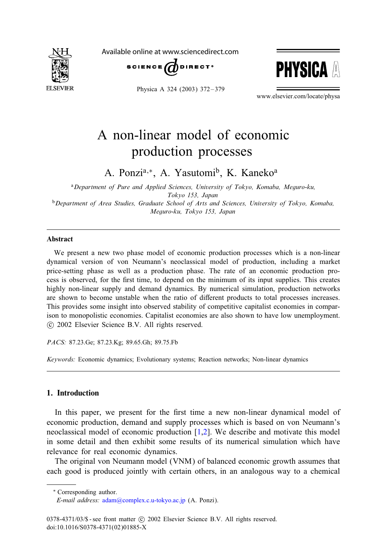

Available online at www.sciencedirect.com



Physica A 324 (2003) 372 – 379



www.elsevier.com/locate/physa

# A non-linear model of economic production processes

A. Ponzi<sup>a,∗</sup>, A. Yasutomi<sup>b</sup>, K. Kaneko<sup>a</sup>

<sup>a</sup>*Department of Pure and Applied Sciences, University of Tokyo, Komaba, Meguro-ku, Tokyo 153, Japan* <sup>b</sup>*Department of Area Studies, Graduate School of Arts and Sciences, University of Tokyo, Komaba,*

*Meguro-ku, Tokyo 153, Japan*

### Abstract

We present a new two phase model of economic production processes which is a non-linear dynamical version of von Neumann's neoclassical model of production, including a market price-setting phase as well as a production phase. The rate of an economic production process is observed, for the first time, to depend on the minimum of its input supplies. This creates highly non-linear supply and demand dynamics. By numerical simulation, production networks are shown to become unstable when the ratio of different products to total processes increases. This provides some insight into observed stability of competitive capitalist economies in comparison to monopolistic economies. Capitalist economies are also shown to have low unemployment. -c 2002 Elsevier Science B.V. All rights reserved.

*PACS:* 87.23.Ge; 87.23.Kg; 89.65.Gh; 89.75.Fb

*Keywords:* Economic dynamics; Evolutionary systems; Reaction networks; Non-linear dynamics

## 1. Introduction

In this paper, we present for the first time a new non-linear dynamical model of economic production, demand and supply processes which is based on von Neumann's neoclassical model of economic production  $[1,2]$ . We describe and motivate this model in some detail and then exhibit some results of its numerical simulation which have relevance for real economic dynamics.

The original von Neumann model (VNM) of balanced economic growth assumes that each good is produced jointly with certain others, in an analogous way to a chemical

<sup>∗</sup> Corresponding author.

*E-mail address:* [adam@complex.c.u-tokyo.ac.jp](mailto:adam@complex.c.u-tokyo.ac.jp) (A. Ponzi).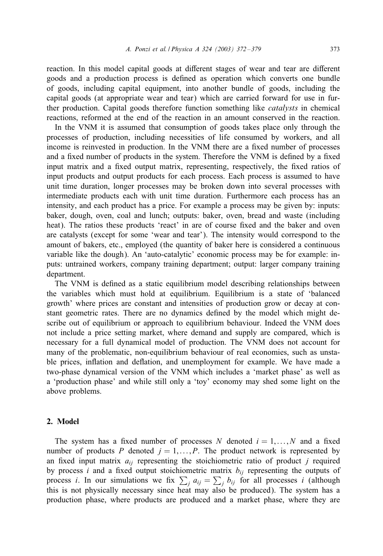reaction. In this model capital goods at different stages of wear and tear are different goods and a production process is defined as operation which converts one bundle ofgoods, including capital equipment, into another bundle ofgoods, including the capital goods (at appropriate wear and tear) which are carried forward for use in further production. Capital goods therefore function something like *catalysts* in chemical reactions, reformed at the end of the reaction in an amount conserved in the reaction.

In the VNM it is assumed that consumption of goods takes place only through the processes of production, including necessities of life consumed by workers, and all income is reinvested in production. In the VNM there are a fixed number of processes and a fixed number of products in the system. Therefore the VNM is defined by a fixed input matrix and a fixed output matrix, representing, respectively, the fixed ratios of input products and output products for each process. Each process is assumed to have unit time duration, longer processes may be broken down into several processes with intermediate products each with unit time duration. Furthermore each process has an intensity, and each product has a price. For example a process may be given by: inputs: baker, dough, oven, coal and lunch; outputs: baker, oven, bread and waste (including heat). The ratios these products 'react' in are of course fixed and the baker and oven are catalysts (except for some 'wear and tear'). The intensity would correspond to the amount of bakers, etc., employed (the quantity of baker here is considered a continuous variable like the dough). An 'auto-catalytic' economic process may be for example: inputs: untrained workers, company training department; output: larger company training department.

The VNM is defined as a static equilibrium model describing relationships between the variables which must hold at equilibrium. Equilibrium is a state of'balanced growth' where prices are constant and intensities of production grow or decay at constant geometric rates. There are no dynamics defined by the model which might describe out of equilibrium or approach to equilibrium behaviour. Indeed the VNM does not include a price setting market, where demand and supply are compared, which is necessary for a full dynamical model of production. The VNM does not account for many of the problematic, non-equilibrium behaviour of real economies, such as unstable prices, inHation and deHation, and unemployment for example. We have made a two-phase dynamical version of the VNM which includes a 'market phase' as well as a 'production phase' and while still only a 'toy' economy may shed some light on the above problems.

## 2. Model

The system has a fixed number of processes N denoted  $i = 1, \ldots, N$  and a fixed number of products P denoted  $j = 1, \ldots, P$ . The product network is represented by an fixed input matrix  $a_{ij}$  representing the stoichiometric ratio of product j required by process i and a fixed output stoichiometric matrix  $b_{ij}$  representing the outputs of process *i*. In our simulations we fix  $\sum_{i} a_{ij} = \sum_{j} b_{ij}$  for all processes *i* (although this is not physically necessary since heat may also be produced). The system has a production phase, where products are produced and a market phase, where they are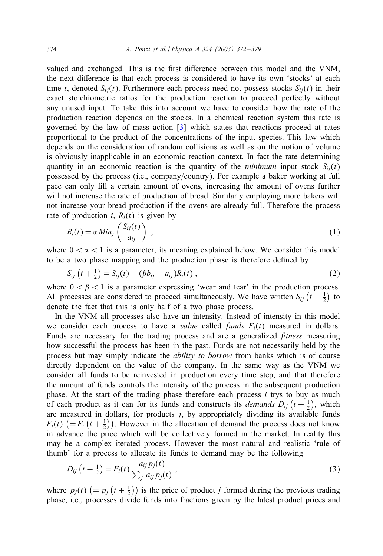<span id="page-2-0"></span>valued and exchanged. This is the first difference between this model and the VNM, the next difference is that each process is considered to have its own 'stocks' at each time t, denoted  $S_{ij}(t)$ . Furthermore each process need not possess stocks  $S_{ij}(t)$  in their exact stoichiometric ratios for the production reaction to proceed perfectly without any unused input. To take this into account we have to consider how the rate of the production reaction depends on the stocks. In a chemical reaction system this rate is governed by the law of mass action [\[3\]](#page-7-0) which states that reactions proceed at rates proportional to the product of the concentrations of the input species. This law which depends on the consideration of random collisions as well as on the notion of volume is obviously inapplicable in an economic reaction context. In fact the rate determining quantity in an economic reaction is the quantity of the *minimum* input stock  $S_{ij}(t)$ possessed by the process (i.e., company/country). For example a baker working at full pace can only fill a certain amount of ovens, increasing the amount of ovens further will not increase the rate of production of bread. Similarly employing more bakers will not increase your bread production if the ovens are already full. Therefore the process rate of production i,  $R_i(t)$  is given by

$$
R_i(t) = \alpha \, Min_j \left( \frac{S_{ij}(t)}{a_{ij}} \right) \,, \tag{1}
$$

where  $0 < \alpha < 1$  is a parameter, its meaning explained below. We consider this model to be a two phase mapping and the production phase is therefore defined by

$$
S_{ij}(t + \frac{1}{2}) = S_{ij}(t) + (\beta b_{ij} - a_{ij})R_i(t), \qquad (2)
$$

where  $0 < \beta < 1$  is a parameter expressing 'wear and tear' in the production process. All processes are considered to proceed simultaneously. We have written  $S_{ij}$   $(t + \frac{1}{2})$  to denote the fact that this is only half of a two phase process.

In the VNM all processes also have an intensity. Instead of intensity in this model we consider each process to have a *value* called *funds*  $F_i(t)$  measured in dollars. Funds are necessary for the trading process and are a generalized *fitness* measuring how successful the process has been in the past. Funds are not necessarily held by the process but may simply indicate the *ability to borrow* from banks which is of course directly dependent on the value of the company. In the same way as the VNM we consider all funds to be reinvested in production every time step, and that therefore the amount of funds controls the intensity of the process in the subsequent production phase. At the start of the trading phase therefore each process  $i$  trys to buy as much of each product as it can for its funds and constructs its *demands*  $D_{ij}$   $(t + \frac{1}{2})$ , which are measured in dollars, for products *j*, by appropriately dividing its available funds  $F_i(t)$   $(= F_i(t + \frac{1}{2}))$ . However in the allocation of demand the process does not know in advance the price which will be collectively formed in the market. In reality this may be a complex iterated process. However the most natural and realistic 'rule of thumb' for a process to allocate its funds to demand may be the following

$$
D_{ij}\left(t+\frac{1}{2}\right) = F_i(t) \, \frac{a_{ij} p_j(t)}{\sum_j a_{ij} p_j(t)}\,,\tag{3}
$$

where  $p_j(t)$   $\left(= p_j\left(t + \frac{1}{2}\right)\right)$  is the price of product *j* formed during the previous trading phase, i.e., processes divide funds into fractions given by the latest product prices and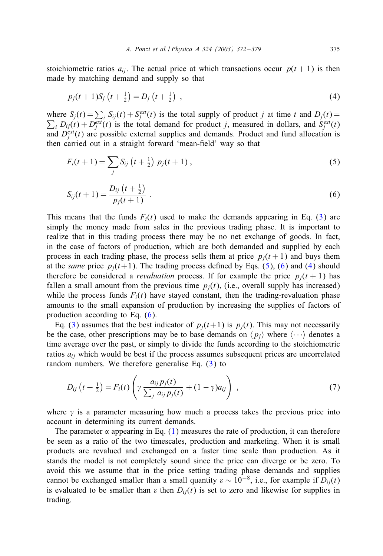<span id="page-3-0"></span>stoichiometric ratios  $a_{ii}$ . The actual price at which transactions occur  $p(t + 1)$  is then made by matching demand and supply so that

$$
p_j(t+1)S_j\left(t+\frac{1}{2}\right) = D_j\left(t+\frac{1}{2}\right) \,,\tag{4}
$$

where  $S_j(t) = \sum_i S_{ij}(t) + S_j^{ext}(t)$  is the total supply of product j at time t and  $D_j(t) =$  $\sum_i D_{ij}(t) + D_j^{\text{ext}}(t)$  is the total demand for product j, measured in dollars, and  $S_j^{\text{ext}}(t)$ and  $D_f^{\text{ext}}(t)$  are possible external supplies and demands. Product and fund allocation is then carried out in a straight forward 'mean-field' way so that

$$
F_i(t+1) = \sum_j S_{ij} \left(t + \frac{1}{2}\right) p_j(t+1) , \qquad (5)
$$

$$
S_{ij}(t+1) = \frac{D_{ij}(t+\frac{1}{2})}{p_j(t+1)}\,. \tag{6}
$$

This means that the funds  $F_i(t)$  used to make the demands appearing in Eq. [\(3\)](#page-2-0) are simply the money made from sales in the previous trading phase. It is important to realize that in this trading process there may be no net exchange of goods. In fact, in the case of factors of production, which are both demanded and supplied by each process in each trading phase, the process sells them at price  $p_i(t+1)$  and buys them at the *same* price  $p_i(t+1)$ . The trading process defined by Eqs. (5), (6) and (4) should therefore be considered a *revaluation* process. If for example the price  $p_i(t + 1)$  has fallen a small amount from the previous time  $p_i(t)$ , (i.e., overall supply has increased) while the process funds  $F_i(t)$  have stayed constant, then the trading-revaluation phase amounts to the small expansion of production by increasing the supplies of factors of production according to Eq. (6).

Eq. [\(3\)](#page-2-0) assumes that the best indicator of  $p_i(t+1)$  is  $p_i(t)$ . This may not necessarily be the case, other prescriptions may be to base demands on  $\langle p_j \rangle$  where  $\langle \cdots \rangle$  denotes a time average over the past, or simply to divide the funds according to the stoichiometric ratios  $a_{ij}$  which would be best if the process assumes subsequent prices are uncorrelated random numbers. We therefore generalise Eq. [\(3\)](#page-2-0) to

$$
D_{ij}\left(t+\frac{1}{2}\right) = F_i(t)\left(\gamma \frac{a_{ij}p_j(t)}{\sum_j a_{ij}p_j(t)} + (1-\gamma)a_{ij}\right) ,\qquad (7)
$$

where  $\gamma$  is a parameter measuring how much a process takes the previous price into account in determining its current demands.

The parameter  $\alpha$  appearing in Eq. [\(1\)](#page-2-0) measures the rate of production, it can therefore be seen as a ratio of the two timescales, production and marketing. When it is small products are revalued and exchanged on a faster time scale than production. As it stands the model is not completely sound since the price can diverge or be zero. To avoid this we assume that in the price setting trading phase demands and supplies cannot be exchanged smaller than a small quantity  $\varepsilon \sim 10^{-8}$ , i.e., for example if  $D_{ij}(t)$ is evaluated to be smaller than  $\varepsilon$  then  $D_{ij}(t)$  is set to zero and likewise for supplies in trading.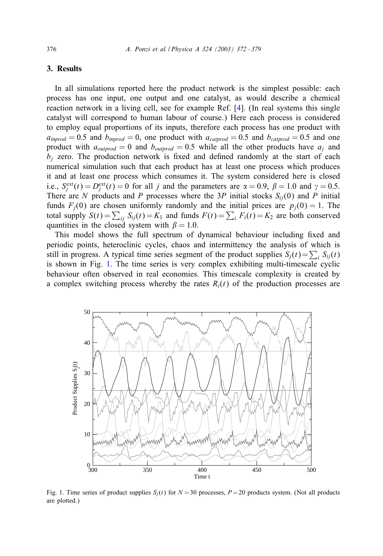#### 3. Results

In all simulations reported here the product network is the simplest possible: each process has one input, one output and one catalyst, as would describe a chemical reaction network in a living cell, see for example Ref. [\[4\]](#page-7-0). (In real systems this single catalyst will correspond to human labour of course.) Here each process is considered to employ equal proportions of its inputs, therefore each process has one product with  $a_{\text{improd}} = 0.5$  and  $b_{\text{improd}} = 0$ , one product with  $a_{\text{catprod}} = 0.5$  and  $b_{\text{catprod}} = 0.5$  and one product with  $a_{outprod} = 0$  and  $b_{outprod} = 0.5$  while all the other products have  $a_i$  and  $b_i$  zero. The production network is fixed and defined randomly at the start of each numerical simulation such that each product has at least one process which produces it and at least one process which consumes it. The system considered here is closed i.e.,  $S_j^{\text{ext}}(t) = D_j^{\text{ext}}(t) = 0$  for all j and the parameters are  $\alpha = 0.9$ ,  $\beta = 1.0$  and  $\gamma = 0.5$ . There are N products and P processes where the 3P initial stocks  $S_{ij}(0)$  and P initial funds  $F_j(0)$  are chosen uniformly randomly and the initial prices are  $p_j(0) = 1$ . The total supply  $S(t) = \sum_{ij} S_{ij}(t) = K_1$  and funds  $F(t) = \sum_i F_i(t) = K_2$  are both conserved quantities in the closed system with  $\beta = 1.0$ .

This model shows the full spectrum of dynamical behaviour including fixed and periodic points, heteroclinic cycles, chaos and intermittency the analysis of which is still in progress. A typical time series segment of the product supplies  $S_j(t) = \sum_i S_{ij}(t)$ is shown in Fig. 1. The time series is very complex exhibiting multi-timescale cyclic behaviour often observed in real economies. This timescale complexity is created by a complex switching process whereby the rates  $R_i(t)$  of the production processes are



Fig. 1. Time series of product supplies  $S_i(t)$  for  $N = 30$  processes,  $P = 20$  products system. (Not all products are plotted.)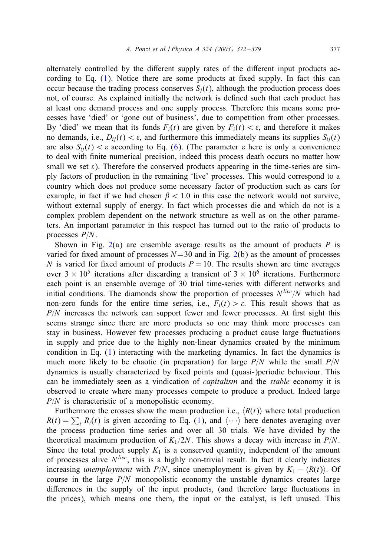alternately controlled by the different supply rates of the different input products according to Eq.  $(1)$ . Notice there are some products at fixed supply. In fact this can occur because the trading process conserves  $S_i(t)$ , although the production process does not, of course. As explained initially the network is defined such that each product has at least one demand process and one supply process. Therefore this means some processes have 'died' or 'gone out of business', due to competition from other processes. By 'died' we mean that its funds  $F_i(t)$  are given by  $F_i(t) < \varepsilon$ , and therefore it makes no demands, i.e.,  $D_{ii}(t) < \varepsilon$ , and furthermore this immediately means its supplies  $S_{ii}(t)$ are also  $S_{ii}(t) < \varepsilon$  according to Eq. [\(6\)](#page-3-0). (The parameter  $\varepsilon$  here is only a convenience to deal with finite numerical precision, indeed this process death occurs no matter how small we set  $\varepsilon$ ). Therefore the conserved products appearing in the time-series are simply factors of production in the remaining 'live' processes. This would correspond to a country which does not produce some necessary factor of production such as cars for example, in fact if we had chosen  $\beta$  < 1.0 in this case the network would not survive, without external supply of energy. In fact which processes die and which do not is a complex problem dependent on the network structure as well as on the other parameters. An important parameter in this respect has turned out to the ratio of products to processes  $P/N$ .

Shown in Fig. [2\(](#page-6-0)a) are ensemble average results as the amount of products  $P$  is varied for fixed amount of processes  $N = 30$  and in Fig. [2\(](#page-6-0)b) as the amount of processes N is varied for fixed amount of products  $P = 10$ . The results shown are time averages over  $3 \times 10^5$  iterations after discarding a transient of  $3 \times 10^6$  iterations. Furthermore each point is an ensemble average of 30 trial time-series with different networks and initial conditions. The diamonds show the proportion of processes  $N^{live}/N$  which had non-zero funds for the entire time series, i.e.,  $F_i(t) > \varepsilon$ . This result shows that as  $P/N$  increases the network can support fewer and fewer processes. At first sight this seems strange since there are more products so one may think more processes can stay in business. However few processes producing a product cause large Huctuations in supply and price due to the highly non-linear dynamics created by the minimum condition in Eq. [\(1\)](#page-2-0) interacting with the marketing dynamics. In fact the dynamics is much more likely to be chaotic (in preparation) for large  $P/N$  while the small  $P/N$ dynamics is usually characterized by fixed points and (quasi-)periodic behaviour. This can be immediately seen as a vindication of *capitalism* and the *stable* economy it is observed to create where many processes compete to produce a product. Indeed large  $P/N$  is characteristic of a monopolistic economy.

Furthermore the crosses show the mean production i.e.,  $\langle R(t) \rangle$  where total production  $R(t) = \sum_i R_i(t)$  is given according to Eq. [\(1\)](#page-2-0), and  $\langle \cdots \rangle$  here denotes averaging over the process production time series and over all 30 trials. We have divided by the theoretical maximum production of  $K_1/2N$ . This shows a decay with increase in  $P/N$ . Since the total product supply  $K_1$  is a conserved quantity, independent of the amount of processes alive  $N^{live}$ , this is a highly non-trivial result. In fact it clearly indicates increasing *unemployment* with  $P/N$ , since unemployment is given by  $K_1 - \langle R(t) \rangle$ . Of course in the large  $P/N$  monopolistic economy the unstable dynamics creates large differences in the supply of the input products, (and therefore large fluctuations in the prices), which means one them, the input or the catalyst, is left unused. This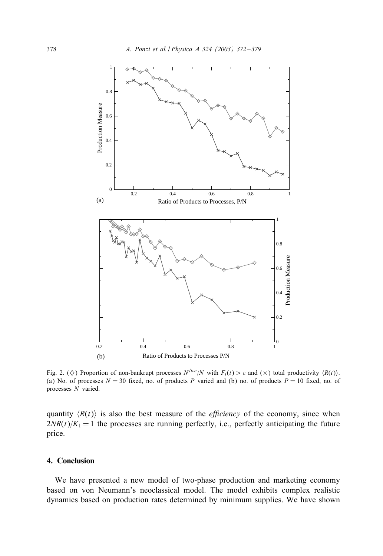<span id="page-6-0"></span>

Fig. 2. ( $\diamond$ ) Proportion of non-bankrupt processes  $N^{live}/N$  with  $F_i(t) > \varepsilon$  and  $(\times)$  total productivity  $\langle R(t) \rangle$ . (a) No. of processes  $N = 30$  fixed, no. of products P varied and (b) no. of products  $P = 10$  fixed, no. of processes N varied.

quantity  $\langle R(t) \rangle$  is also the best measure of the *efficiency* of the economy, since when  $2NR(t)/K_1 = 1$  the processes are running perfectly, i.e., perfectly anticipating the future price.

## 4. Conclusion

We have presented a new model of two-phase production and marketing economy based on von Neumann's neoclassical model. The model exhibits complex realistic dynamics based on production rates determined by minimum supplies. We have shown